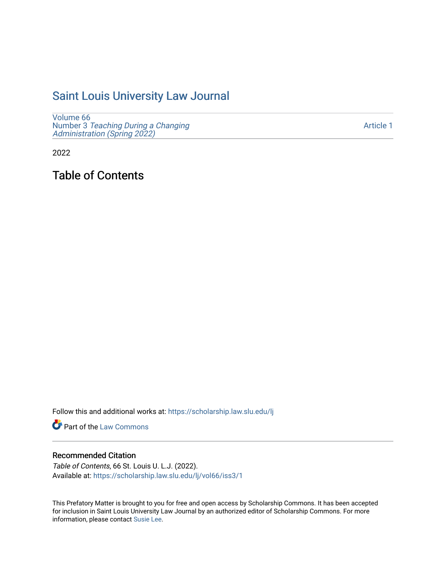# [Saint Louis University Law Journal](https://scholarship.law.slu.edu/lj)

[Volume 66](https://scholarship.law.slu.edu/lj/vol66) Number 3 [Teaching During a Changing](https://scholarship.law.slu.edu/lj/vol66/iss3)  [Administration \(Spring 2022\)](https://scholarship.law.slu.edu/lj/vol66/iss3) 

[Article 1](https://scholarship.law.slu.edu/lj/vol66/iss3/1) 

2022

Table of Contents

Follow this and additional works at: [https://scholarship.law.slu.edu/lj](https://scholarship.law.slu.edu/lj?utm_source=scholarship.law.slu.edu%2Flj%2Fvol66%2Fiss3%2F1&utm_medium=PDF&utm_campaign=PDFCoverPages) 

Part of the [Law Commons](https://network.bepress.com/hgg/discipline/578?utm_source=scholarship.law.slu.edu%2Flj%2Fvol66%2Fiss3%2F1&utm_medium=PDF&utm_campaign=PDFCoverPages)

## Recommended Citation

Table of Contents, 66 St. Louis U. L.J. (2022). Available at: [https://scholarship.law.slu.edu/lj/vol66/iss3/1](https://scholarship.law.slu.edu/lj/vol66/iss3/1?utm_source=scholarship.law.slu.edu%2Flj%2Fvol66%2Fiss3%2F1&utm_medium=PDF&utm_campaign=PDFCoverPages) 

This Prefatory Matter is brought to you for free and open access by Scholarship Commons. It has been accepted for inclusion in Saint Louis University Law Journal by an authorized editor of Scholarship Commons. For more information, please contact [Susie Lee](mailto:susie.lee@slu.edu).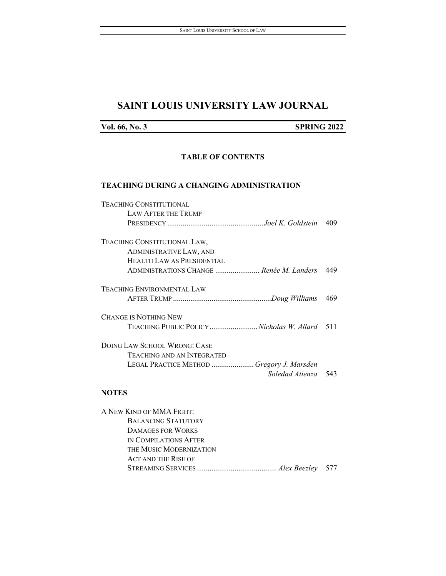## **SAINT LOUIS UNIVERSITY LAW JOURNAL**

## **Vol. 66, No. 3 SPRING 2022**

## **TABLE OF CONTENTS**

#### **TEACHING DURING A CHANGING ADMINISTRATION**

| <b>TEACHING CONSTITUTIONAL</b>               |     |
|----------------------------------------------|-----|
| <b>LAW AFTER THE TRUMP</b>                   |     |
|                                              | 409 |
| TEACHING CONSTITUTIONAL LAW,                 |     |
| <b>ADMINISTRATIVE LAW, AND</b>               |     |
| <b>HEALTH LAW AS PRESIDENTIAL</b>            |     |
| ADMINISTRATIONS CHANGE  Renée M. Landers     | 449 |
| <b>TEACHING ENVIRONMENTAL LAW</b>            |     |
|                                              | 469 |
| <b>CHANGE IS NOTHING NEW</b>                 |     |
| TEACHING PUBLIC POLICYNicholas W. Allard 511 |     |
| DOING LAW SCHOOL WRONG: CASE                 |     |
| <b>TEACHING AND AN INTEGRATED</b>            |     |
| LEGAL PRACTICE METHOD  Gregory J. Marsden    |     |
| Soledad Atienza                              | 543 |
|                                              |     |

## **NOTES**

| A NEW KIND OF MMA FIGHT:   |  |
|----------------------------|--|
| <b>BALANCING STATUTORY</b> |  |
| <b>DAMAGES FOR WORKS</b>   |  |
| IN COMPILATIONS AFTER      |  |
| THE MUSIC MODERNIZATION    |  |
| <b>ACT AND THE RISE OF</b> |  |
|                            |  |
|                            |  |